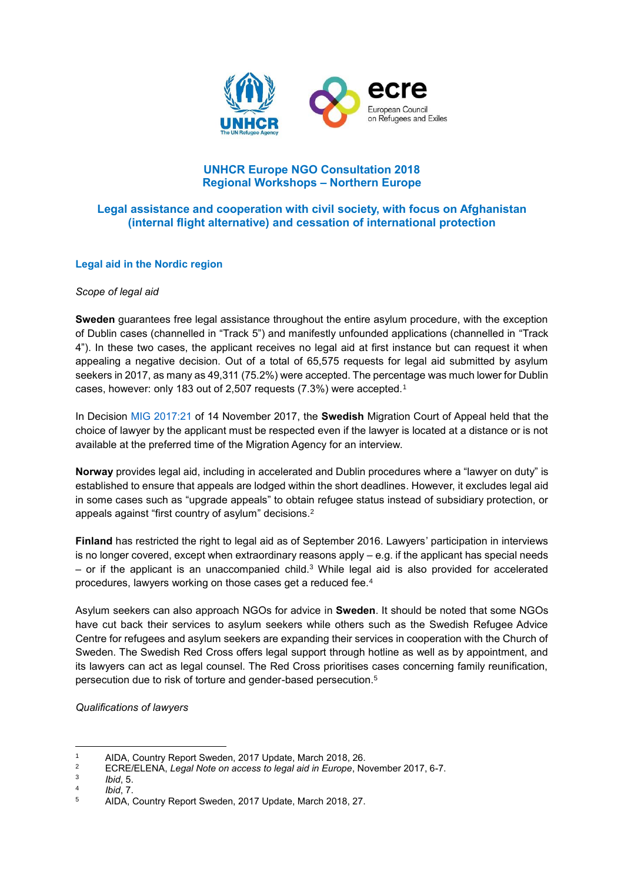

# **UNHCR Europe NGO Consultation 2018 Regional Workshops – Northern Europe**

# **Legal assistance and cooperation with civil society, with focus on Afghanistan (internal flight alternative) and cessation of international protection**

#### **Legal aid in the Nordic region**

#### *Scope of legal aid*

**Sweden** guarantees free legal assistance throughout the entire asylum procedure, with the exception of Dublin cases (channelled in "Track 5") and manifestly unfounded applications (channelled in "Track 4"). In these two cases, the applicant receives no legal aid at first instance but can request it when appealing a negative decision. Out of a total of 65,575 requests for legal aid submitted by asylum seekers in 2017, as many as 49,311 (75.2%) were accepted. The percentage was much lower for Dublin cases, however: only 183 out of 2,507 requests (7.3%) were accepted.<sup>1</sup>

In Decision [MIG 2017:21](http://bit.ly/2sgVeWj) of 14 November 2017, the **Swedish** Migration Court of Appeal held that the choice of lawyer by the applicant must be respected even if the lawyer is located at a distance or is not available at the preferred time of the Migration Agency for an interview.

**Norway** provides legal aid, including in accelerated and Dublin procedures where a "lawyer on duty" is established to ensure that appeals are lodged within the short deadlines. However, it excludes legal aid in some cases such as "upgrade appeals" to obtain refugee status instead of subsidiary protection, or appeals against "first country of asylum" decisions.<sup>2</sup>

**Finland** has restricted the right to legal aid as of September 2016. Lawyers' participation in interviews is no longer covered, except when extraordinary reasons apply – e.g. if the applicant has special needs – or if the applicant is an unaccompanied child. <sup>3</sup> While legal aid is also provided for accelerated procedures, lawyers working on those cases get a reduced fee.<sup>4</sup>

Asylum seekers can also approach NGOs for advice in **Sweden**. It should be noted that some NGOs have cut back their services to asylum seekers while others such as the Swedish Refugee Advice Centre for refugees and asylum seekers are expanding their services in cooperation with the Church of Sweden. The Swedish Red Cross offers legal support through hotline as well as by appointment, and its lawyers can act as legal counsel. The Red Cross prioritises cases concerning family reunification, persecution due to risk of torture and gender-based persecution. 5

#### *Qualifications of lawyers*

```
2 ECRE/ELENA, Legal Note on access to legal aid in Europe, November 2017, 6-7.
```
<sup>1</sup> 1 AIDA, Country Report Sweden, 2017 Update, March 2018, 26.<br>2 ECBE/ELENIA, Logal Nata an access to logal sid in Europe, No

<sup>3</sup> *Ibid*, 5.

<sup>4</sup> *Ibid*, 7.

<sup>5</sup> AIDA, Country Report Sweden, 2017 Update, March 2018, 27.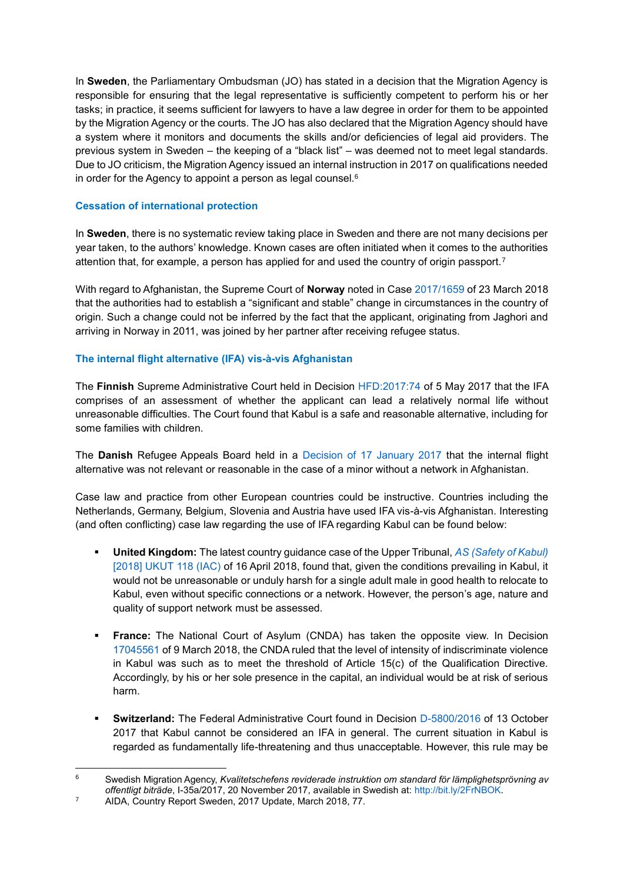In **Sweden**, the Parliamentary Ombudsman (JO) has stated in a decision that the Migration Agency is responsible for ensuring that the legal representative is sufficiently competent to perform his or her tasks; in practice, it seems sufficient for lawyers to have a law degree in order for them to be appointed by the Migration Agency or the courts. The JO has also declared that the Migration Agency should have a system where it monitors and documents the skills and/or deficiencies of legal aid providers. The previous system in Sweden – the keeping of a "black list" – was deemed not to meet legal standards. Due to JO criticism, the Migration Agency issued an internal instruction in 2017 on qualifications needed in order for the Agency to appoint a person as legal counsel.<sup>6</sup>

## **Cessation of international protection**

In **Sweden**, there is no systematic review taking place in Sweden and there are not many decisions per year taken, to the authors' knowledge. Known cases are often initiated when it comes to the authorities attention that, for example, a person has applied for and used the country of origin passport.<sup>7</sup>

With regard to Afghanistan, the Supreme Court of **Norway** noted in Case [2017/1659](https://www.domstol.no/no/Enkelt-domstol/-norges-hoyesterett/avgjorelser/avgjorelser-20181/avgjorelser---sivile-saker/tilbakekall-av-flyktningstatus-og-oppholdstillatelse/) of 23 March 2018 that the authorities had to establish a "significant and stable" change in circumstances in the country of origin. Such a change could not be inferred by the fact that the applicant, originating from Jaghori and arriving in Norway in 2011, was joined by her partner after receiving refugee status.

## **The internal flight alternative (IFA) vis-à-vis Afghanistan**

The **Finnish** Supreme Administrative Court held in Decision [HFD:2017:74](http://www.kho.fi/sv/index/paatoksia/vuosikirjapaatokset/vuosikirjapaatos/1493814896238.html) of 5 May 2017 that the IFA comprises of an assessment of whether the applicant can lead a relatively normal life without unreasonable difficulties. The Court found that Kabul is a safe and reasonable alternative, including for some families with children.

The **Danish** Refugee Appeals Board held in a [Decision of 17 January 2017](http://www.asylumlawdatabase.eu/en/case-law/denmark-refugee-appeals-board%E2%80%99s-decision-17-january-2017#content) that the internal flight alternative was not relevant or reasonable in the case of a minor without a network in Afghanistan.

Case law and practice from other European countries could be instructive. Countries including the Netherlands, Germany, Belgium, Slovenia and Austria have used IFA vis-à-vis Afghanistan. Interesting (and often conflicting) case law regarding the use of IFA regarding Kabul can be found below:

- **United Kingdom:** The latest country guidance case of the Upper Tribunal, *[AS \(Safety of Kabul\)](https://tribunalsdecisions.service.gov.uk/utiac/2018-ukut-118)*  [\[2018\] UKUT 118 \(IAC\)](https://tribunalsdecisions.service.gov.uk/utiac/2018-ukut-118) of 16 April 2018, found that, given the conditions prevailing in Kabul, it would not be unreasonable or unduly harsh for a single adult male in good health to relocate to Kabul, even without specific connections or a network. However, the person's age, nature and quality of support network must be assessed.
- **France:** The National Court of Asylum (CNDA) has taken the opposite view. In Decision [17045561](http://www.cnda.fr/content/download/130526/1323291/version/1/file/CNDA%209%20mars%202018%20M.%20H.%20n%C2%B0%2017045561%20C.pdf) of 9 March 2018, the CNDA ruled that the level of intensity of indiscriminate violence in Kabul was such as to meet the threshold of Article 15(c) of the Qualification Directive. Accordingly, by his or her sole presence in the capital, an individual would be at risk of serious harm.
- **Switzerland:** The Federal Administrative Court found in Decision [D-5800/2016](https://jurispub.admin.ch/publiws/download?decisionId=0137cc37-8c61-4408-b4eb-244526cd567c) of 13 October 2017 that Kabul cannot be considered an IFA in general. The current situation in Kabul is regarded as fundamentally life-threatening and thus unacceptable. However, this rule may be

<sup>1</sup> <sup>6</sup> Swedish Migration Agency, *Kvalitetschefens reviderade instruktion om standard för lämplighetsprövning av offentligt biträde*, I-35a/2017, 20 November 2017, available in Swedish at: [http://bit.ly/2FrNBOK.](http://bit.ly/2FrNBOK)

<sup>&</sup>lt;sup>7</sup> AIDA, Country Report Sweden, 2017 Update, March 2018, 77.